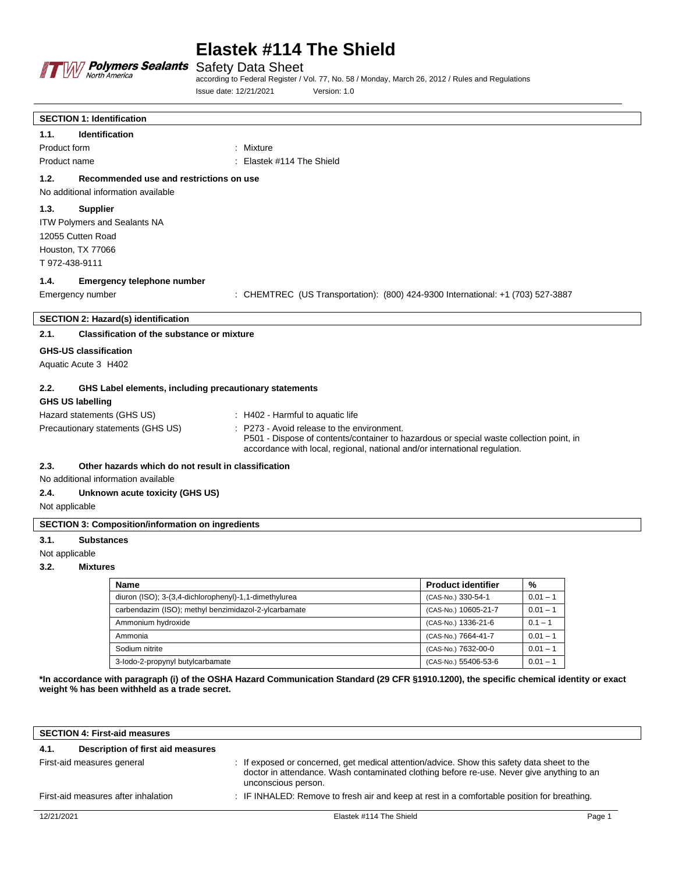

# **Elastek #114 The Shield**

Safety Data Sheet

according to Federal Register / Vol. 77, No. 58 / Monday, March 26, 2012 / Rules and Regulations Issue date: 12/21/2021 Version: 1.0

| <b>SECTION 1: Identification</b>                               |                                                                                                                                                                                                                     |
|----------------------------------------------------------------|---------------------------------------------------------------------------------------------------------------------------------------------------------------------------------------------------------------------|
| <b>Identification</b><br>1.1.                                  |                                                                                                                                                                                                                     |
| Product form                                                   | : Mixture                                                                                                                                                                                                           |
| Product name                                                   | : Elastek #114 The Shield                                                                                                                                                                                           |
| 1.2.<br>Recommended use and restrictions on use                |                                                                                                                                                                                                                     |
| No additional information available                            |                                                                                                                                                                                                                     |
| 1.3.<br><b>Supplier</b>                                        |                                                                                                                                                                                                                     |
| ITW Polymers and Sealants NA                                   |                                                                                                                                                                                                                     |
| 12055 Cutten Road                                              |                                                                                                                                                                                                                     |
| Houston, TX 77066                                              |                                                                                                                                                                                                                     |
| T 972-438-9111                                                 |                                                                                                                                                                                                                     |
| 1.4.<br><b>Emergency telephone number</b>                      |                                                                                                                                                                                                                     |
| Emergency number                                               | : CHEMTREC (US Transportation): (800) 424-9300 International: +1 (703) 527-3887                                                                                                                                     |
| <b>SECTION 2: Hazard(s) identification</b>                     |                                                                                                                                                                                                                     |
| 2.1.<br><b>Classification of the substance or mixture</b>      |                                                                                                                                                                                                                     |
| <b>GHS-US classification</b>                                   |                                                                                                                                                                                                                     |
| Aquatic Acute 3 H402                                           |                                                                                                                                                                                                                     |
| 2.2.<br>GHS Label elements, including precautionary statements |                                                                                                                                                                                                                     |
| <b>GHS US labelling</b>                                        |                                                                                                                                                                                                                     |
| Hazard statements (GHS US)                                     | : H402 - Harmful to aquatic life                                                                                                                                                                                    |
| Precautionary statements (GHS US)                              | : P273 - Avoid release to the environment.<br>P501 - Dispose of contents/container to hazardous or special waste collection point, in<br>accordance with local, regional, national and/or international regulation. |
| 2.3.<br>Other hazards which do not result in classification    |                                                                                                                                                                                                                     |
| No additional information available                            |                                                                                                                                                                                                                     |
| 2.4.<br>Unknown acute toxicity (GHS US)                        |                                                                                                                                                                                                                     |
| Not applicable                                                 |                                                                                                                                                                                                                     |
| <b>SECTION 3: Composition/information on ingredients</b>       |                                                                                                                                                                                                                     |
| 3.1.<br><b>Substances</b>                                      |                                                                                                                                                                                                                     |
| Not applicable                                                 |                                                                                                                                                                                                                     |
| 3.2.<br><b>Mixtures</b>                                        |                                                                                                                                                                                                                     |

| <b>Name</b>                                           | <b>Product identifier</b> | %          |
|-------------------------------------------------------|---------------------------|------------|
| diuron (ISO); 3-(3,4-dichlorophenyl)-1,1-dimethylurea | (CAS-No.) 330-54-1        | $0.01 - 1$ |
| carbendazim (ISO); methyl benzimidazol-2-ylcarbamate  | (CAS-No.) 10605-21-7      | $0.01 - 1$ |
| Ammonium hydroxide                                    | (CAS-No.) 1336-21-6       | $0.1 - 1$  |
| Ammonia                                               | (CAS-No.) 7664-41-7       | $0.01 - 1$ |
| Sodium nitrite                                        | (CAS-No.) 7632-00-0       | $0.01 - 1$ |
| 3-lodo-2-propynyl butylcarbamate                      | (CAS-No.) 55406-53-6      | $0.01 - 1$ |

**\*In accordance with paragraph (i) of the OSHA Hazard Communication Standard (29 CFR §1910.1200), the specific chemical identity or exact weight % has been withheld as a trade secret.**

| <b>SECTION 4: First-aid measures</b> |                                     |                                                                                                                                                                                                                 |        |
|--------------------------------------|-------------------------------------|-----------------------------------------------------------------------------------------------------------------------------------------------------------------------------------------------------------------|--------|
| 4.1.                                 | Description of first aid measures   |                                                                                                                                                                                                                 |        |
|                                      | First-aid measures general          | : If exposed or concerned, get medical attention/advice. Show this safety data sheet to the<br>doctor in attendance. Wash contaminated clothing before re-use. Never give anything to an<br>unconscious person. |        |
|                                      | First-aid measures after inhalation | : IF INHALED: Remove to fresh air and keep at rest in a comfortable position for breathing.                                                                                                                     |        |
| 12/21/2021                           |                                     | Elastek #114 The Shield                                                                                                                                                                                         | Page 1 |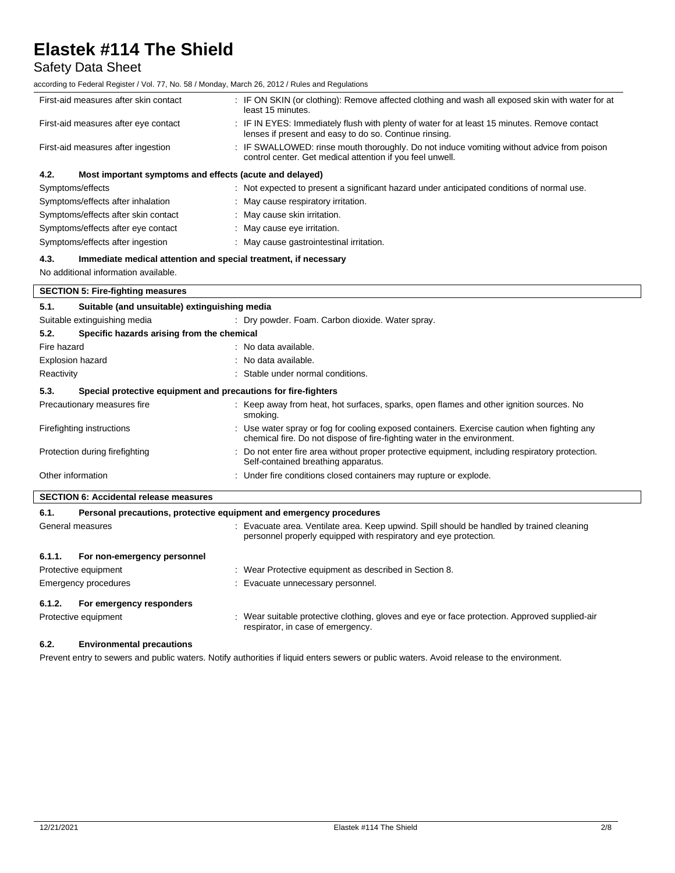### Safety Data Sheet

according to Federal Register / Vol. 77, No. 58 / Monday, March 26, 2012 / Rules and Regulations

| First-aid measures after skin contact                           | : IF ON SKIN (or clothing): Remove affected clothing and wash all exposed skin with water for at<br>least 15 minutes.                                  |
|-----------------------------------------------------------------|--------------------------------------------------------------------------------------------------------------------------------------------------------|
| First-aid measures after eye contact                            | : IF IN EYES: Immediately flush with plenty of water for at least 15 minutes. Remove contact<br>lenses if present and easy to do so. Continue rinsing. |
| First-aid measures after ingestion                              | : IF SWALLOWED: rinse mouth thoroughly. Do not induce vomiting without advice from poison<br>control center. Get medical attention if you feel unwell. |
| Most important symptoms and effects (acute and delayed)<br>4.2. |                                                                                                                                                        |
| Symptoms/effects                                                | : Not expected to present a significant hazard under anticipated conditions of normal use.                                                             |
| Symptoms/effects after inhalation                               | : May cause respiratory irritation.                                                                                                                    |
| Symptoms/effects after skin contact                             | : May cause skin irritation.                                                                                                                           |
| Symptoms/effects after eye contact                              | : May cause eye irritation.                                                                                                                            |
| Symptoms/effects after ingestion                                | : May cause gastrointestinal irritation.                                                                                                               |

### **4.3. Immediate medical attention and special treatment, if necessary**

No additional information available.

| <b>SECTION 5: Fire-fighting measures</b>                               |                                                                     |                                                                                                                                                                         |  |
|------------------------------------------------------------------------|---------------------------------------------------------------------|-------------------------------------------------------------------------------------------------------------------------------------------------------------------------|--|
| 5.1.                                                                   | Suitable (and unsuitable) extinguishing media                       |                                                                                                                                                                         |  |
|                                                                        | Suitable extinguishing media                                        | : Dry powder. Foam. Carbon dioxide. Water spray.                                                                                                                        |  |
| 5.2.                                                                   | Specific hazards arising from the chemical                          |                                                                                                                                                                         |  |
| Fire hazard                                                            |                                                                     | : No data available.                                                                                                                                                    |  |
| Explosion hazard                                                       |                                                                     | : No data available.                                                                                                                                                    |  |
| Reactivity                                                             |                                                                     | : Stable under normal conditions.                                                                                                                                       |  |
| 5.3.<br>Special protective equipment and precautions for fire-fighters |                                                                     |                                                                                                                                                                         |  |
|                                                                        | Precautionary measures fire                                         | : Keep away from heat, hot surfaces, sparks, open flames and other ignition sources. No<br>smoking.                                                                     |  |
|                                                                        | Firefighting instructions                                           | : Use water spray or fog for cooling exposed containers. Exercise caution when fighting any<br>chemical fire. Do not dispose of fire-fighting water in the environment. |  |
|                                                                        | Protection during firefighting                                      | : Do not enter fire area without proper protective equipment, including respiratory protection.<br>Self-contained breathing apparatus.                                  |  |
| Other information                                                      |                                                                     | : Under fire conditions closed containers may rupture or explode.                                                                                                       |  |
| <b>SECTION 6: Accidental release measures</b>                          |                                                                     |                                                                                                                                                                         |  |
| 6.1.                                                                   | Personal precautions, protective equipment and emergency procedures |                                                                                                                                                                         |  |
|                                                                        | General measures                                                    | : Evacuate area. Ventilate area. Keep upwind. Spill should be handled by trained cleaning<br>personnel properly equipped with respiratory and eye protection.           |  |
| 6.1.1.                                                                 | For non-emergency personnel                                         |                                                                                                                                                                         |  |

| Protective equipment               | : Wear Protective equipment as described in Section 8.                                                                             |
|------------------------------------|------------------------------------------------------------------------------------------------------------------------------------|
| Emergency procedures               | : Evacuate unnecessary personnel.                                                                                                  |
| For emergency responders<br>6.1.2. |                                                                                                                                    |
| Protective equipment               | : Wear suitable protective clothing, gloves and eye or face protection. Approved supplied-air<br>respirator, in case of emergency. |

### **6.2. Environmental precautions**

Prevent entry to sewers and public waters. Notify authorities if liquid enters sewers or public waters. Avoid release to the environment.

 $\overline{\phantom{a}}$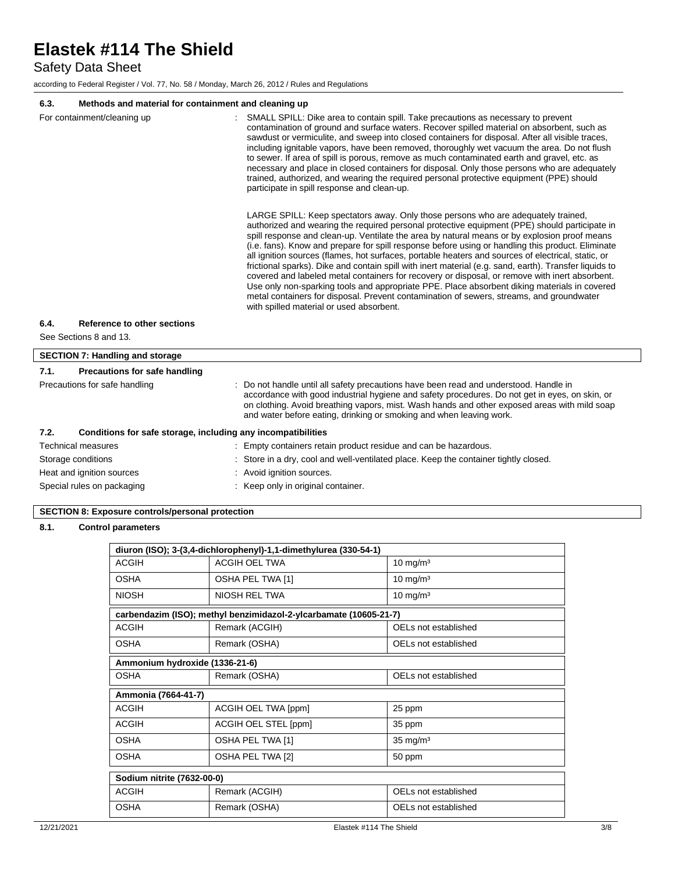Safety Data Sheet

according to Federal Register / Vol. 77, No. 58 / Monday, March 26, 2012 / Rules and Regulations

### **6.3. Methods and material for containment and cleaning up**

|      | For containment/cleaning up                                  | SMALL SPILL: Dike area to contain spill. Take precautions as necessary to prevent<br>contamination of ground and surface waters. Recover spilled material on absorbent, such as<br>sawdust or vermiculite, and sweep into closed containers for disposal. After all visible traces,<br>including ignitable vapors, have been removed, thoroughly wet vacuum the area. Do not flush<br>to sewer. If area of spill is porous, remove as much contaminated earth and gravel, etc. as<br>necessary and place in closed containers for disposal. Only those persons who are adequately<br>trained, authorized, and wearing the required personal protective equipment (PPE) should<br>participate in spill response and clean-up.<br>LARGE SPILL: Keep spectators away. Only those persons who are adequately trained,<br>authorized and wearing the required personal protective equipment (PPE) should participate in<br>spill response and clean-up. Ventilate the area by natural means or by explosion proof means<br>(i.e. fans). Know and prepare for spill response before using or handling this product. Eliminate<br>all ignition sources (flames, hot surfaces, portable heaters and sources of electrical, static, or<br>frictional sparks). Dike and contain spill with inert material (e.g. sand, earth). Transfer liquids to<br>covered and labeled metal containers for recovery or disposal, or remove with inert absorbent.<br>Use only non-sparking tools and appropriate PPE. Place absorbent diking materials in covered<br>metal containers for disposal. Prevent contamination of sewers, streams, and groundwater<br>with spilled material or used absorbent. |
|------|--------------------------------------------------------------|-----------------------------------------------------------------------------------------------------------------------------------------------------------------------------------------------------------------------------------------------------------------------------------------------------------------------------------------------------------------------------------------------------------------------------------------------------------------------------------------------------------------------------------------------------------------------------------------------------------------------------------------------------------------------------------------------------------------------------------------------------------------------------------------------------------------------------------------------------------------------------------------------------------------------------------------------------------------------------------------------------------------------------------------------------------------------------------------------------------------------------------------------------------------------------------------------------------------------------------------------------------------------------------------------------------------------------------------------------------------------------------------------------------------------------------------------------------------------------------------------------------------------------------------------------------------------------------------------------------------------------------------------------------------------------------|
| 6.4. | Reference to other sections                                  |                                                                                                                                                                                                                                                                                                                                                                                                                                                                                                                                                                                                                                                                                                                                                                                                                                                                                                                                                                                                                                                                                                                                                                                                                                                                                                                                                                                                                                                                                                                                                                                                                                                                                   |
|      | See Sections 8 and 13.                                       |                                                                                                                                                                                                                                                                                                                                                                                                                                                                                                                                                                                                                                                                                                                                                                                                                                                                                                                                                                                                                                                                                                                                                                                                                                                                                                                                                                                                                                                                                                                                                                                                                                                                                   |
|      |                                                              |                                                                                                                                                                                                                                                                                                                                                                                                                                                                                                                                                                                                                                                                                                                                                                                                                                                                                                                                                                                                                                                                                                                                                                                                                                                                                                                                                                                                                                                                                                                                                                                                                                                                                   |
|      | <b>SECTION 7: Handling and storage</b>                       |                                                                                                                                                                                                                                                                                                                                                                                                                                                                                                                                                                                                                                                                                                                                                                                                                                                                                                                                                                                                                                                                                                                                                                                                                                                                                                                                                                                                                                                                                                                                                                                                                                                                                   |
| 7.1. | <b>Precautions for safe handling</b>                         |                                                                                                                                                                                                                                                                                                                                                                                                                                                                                                                                                                                                                                                                                                                                                                                                                                                                                                                                                                                                                                                                                                                                                                                                                                                                                                                                                                                                                                                                                                                                                                                                                                                                                   |
|      | Precautions for safe handling                                | Do not handle until all safety precautions have been read and understood. Handle in<br>accordance with good industrial hygiene and safety procedures. Do not get in eyes, on skin, or<br>on clothing. Avoid breathing vapors, mist. Wash hands and other exposed areas with mild soap<br>and water before eating, drinking or smoking and when leaving work.                                                                                                                                                                                                                                                                                                                                                                                                                                                                                                                                                                                                                                                                                                                                                                                                                                                                                                                                                                                                                                                                                                                                                                                                                                                                                                                      |
| 7.2. | Conditions for safe storage, including any incompatibilities |                                                                                                                                                                                                                                                                                                                                                                                                                                                                                                                                                                                                                                                                                                                                                                                                                                                                                                                                                                                                                                                                                                                                                                                                                                                                                                                                                                                                                                                                                                                                                                                                                                                                                   |
|      | <b>Technical measures</b>                                    | : Empty containers retain product residue and can be hazardous.                                                                                                                                                                                                                                                                                                                                                                                                                                                                                                                                                                                                                                                                                                                                                                                                                                                                                                                                                                                                                                                                                                                                                                                                                                                                                                                                                                                                                                                                                                                                                                                                                   |
|      | Storage conditions                                           | : Store in a dry, cool and well-ventilated place. Keep the container tightly closed.                                                                                                                                                                                                                                                                                                                                                                                                                                                                                                                                                                                                                                                                                                                                                                                                                                                                                                                                                                                                                                                                                                                                                                                                                                                                                                                                                                                                                                                                                                                                                                                              |
|      |                                                              |                                                                                                                                                                                                                                                                                                                                                                                                                                                                                                                                                                                                                                                                                                                                                                                                                                                                                                                                                                                                                                                                                                                                                                                                                                                                                                                                                                                                                                                                                                                                                                                                                                                                                   |

Heat and ignition sources **in the state of the state of the state of the state of the state of the state of the state of the state of the state of the state of the state of the state of the state of the state of the state** 

Special rules on packaging **in the case of the Container** : Keep only in original container.

### **SECTION 8: Exposure controls/personal protection**

### **8.1. Control parameters**

| diuron (ISO); 3-(3,4-dichlorophenyl)-1,1-dimethylurea (330-54-1) |                                                                   |                      |
|------------------------------------------------------------------|-------------------------------------------------------------------|----------------------|
| <b>ACGIH</b>                                                     | <b>ACGIH OEL TWA</b>                                              | $10 \text{ mg/m}^3$  |
| <b>OSHA</b>                                                      | OSHA PEL TWA [1]                                                  | 10 mg/m <sup>3</sup> |
| <b>NIOSH</b>                                                     | NIOSH REL TWA                                                     | $10 \text{ mg/m}^3$  |
|                                                                  | carbendazim (ISO); methyl benzimidazol-2-ylcarbamate (10605-21-7) |                      |
| <b>ACGIH</b>                                                     | Remark (ACGIH)                                                    | OELs not established |
| <b>OSHA</b>                                                      | Remark (OSHA)                                                     | OELs not established |
|                                                                  | Ammonium hydroxide (1336-21-6)                                    |                      |
| <b>OSHA</b>                                                      | Remark (OSHA)                                                     | OELs not established |
| Ammonia (7664-41-7)                                              |                                                                   |                      |
| <b>ACGIH</b>                                                     | ACGIH OEL TWA [ppm]                                               | 25 ppm               |
| ACGIH                                                            | ACGIH OEL STEL [ppm]                                              | 35 ppm               |
| <b>OSHA</b>                                                      | OSHA PEL TWA [1]                                                  | $35 \text{ mg/m}^3$  |
| <b>OSHA</b>                                                      | OSHA PEL TWA [2]                                                  | 50 ppm               |
| Sodium nitrite (7632-00-0)                                       |                                                                   |                      |
| <b>ACGIH</b>                                                     | Remark (ACGIH)                                                    | OELs not established |
| <b>OSHA</b>                                                      | Remark (OSHA)                                                     | OELs not established |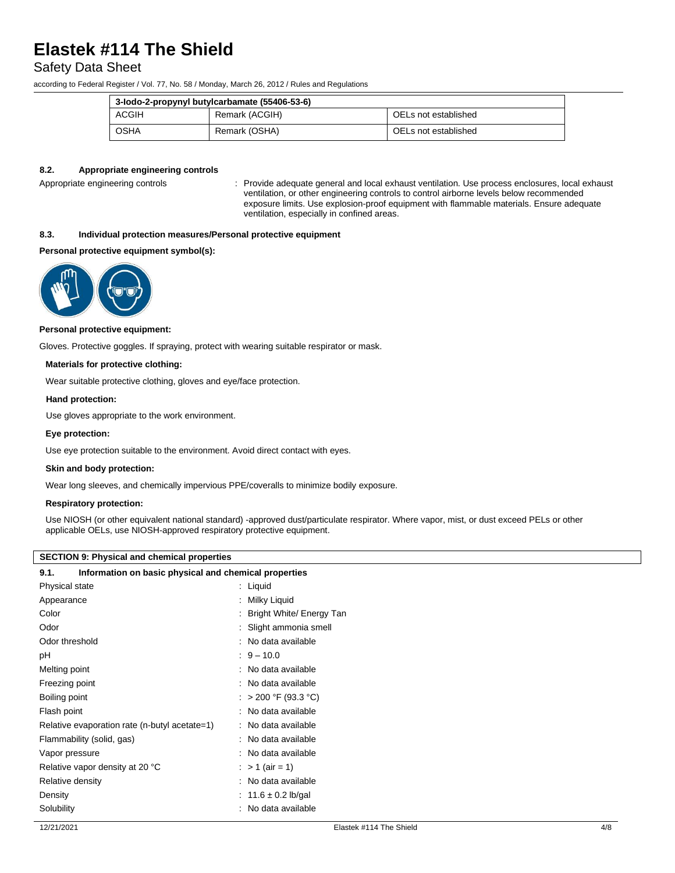### Safety Data Sheet

according to Federal Register / Vol. 77, No. 58 / Monday, March 26, 2012 / Rules and Regulations

| 3-lodo-2-propynyl butylcarbamate (55406-53-6) |                |                      |
|-----------------------------------------------|----------------|----------------------|
| <b>ACGIH</b>                                  | Remark (ACGIH) | OELs not established |
| OSHA                                          | Remark (OSHA)  | OELs not established |

### **8.2. Appropriate engineering controls**

Appropriate engineering controls : Provide adequate general and local exhaust ventilation. Use process enclosures, local exhaust ventilation, or other engineering controls to control airborne levels below recommended exposure limits. Use explosion-proof equipment with flammable materials. Ensure adequate ventilation, especially in confined areas.

### **8.3. Individual protection measures/Personal protective equipment**

### **Personal protective equipment symbol(s):**



#### **Personal protective equipment:**

Gloves. Protective goggles. If spraying, protect with wearing suitable respirator or mask.

#### **Materials for protective clothing:**

Wear suitable protective clothing, gloves and eye/face protection.

### **Hand protection:**

Use gloves appropriate to the work environment.

#### **Eye protection:**

Use eye protection suitable to the environment. Avoid direct contact with eyes.

#### **Skin and body protection:**

Wear long sleeves, and chemically impervious PPE/coveralls to minimize bodily exposure.

### **Respiratory protection:**

Use NIOSH (or other equivalent national standard) -approved dust/particulate respirator. Where vapor, mist, or dust exceed PELs or other applicable OELs, use NIOSH-approved respiratory protective equipment.

### **SECTION 9: Physical and chemical properties**

### **9.1. Information on basic physical and chemical properties**

| Physical state                                | : Liquid                 |  |
|-----------------------------------------------|--------------------------|--|
| Appearance                                    | Milky Liquid             |  |
| Color                                         | Bright White/ Energy Tan |  |
| Odor                                          | Slight ammonia smell     |  |
| Odor threshold                                | No data available        |  |
| рH                                            | $9 - 10.0$               |  |
| Melting point                                 | No data available        |  |
| Freezing point                                | : No data available      |  |
| Boiling point                                 | $> 200$ °F (93.3 °C)     |  |
| Flash point                                   | No data available        |  |
| Relative evaporation rate (n-butyl acetate=1) | No data available        |  |
| Flammability (solid, gas)                     | No data available        |  |
| Vapor pressure                                | No data available        |  |
| Relative vapor density at 20 °C               | : > 1 (air = 1)          |  |
| Relative density                              | : No data available      |  |
| Density                                       | : 11.6 $\pm$ 0.2 lb/gal  |  |
| Solubility                                    | : No data available      |  |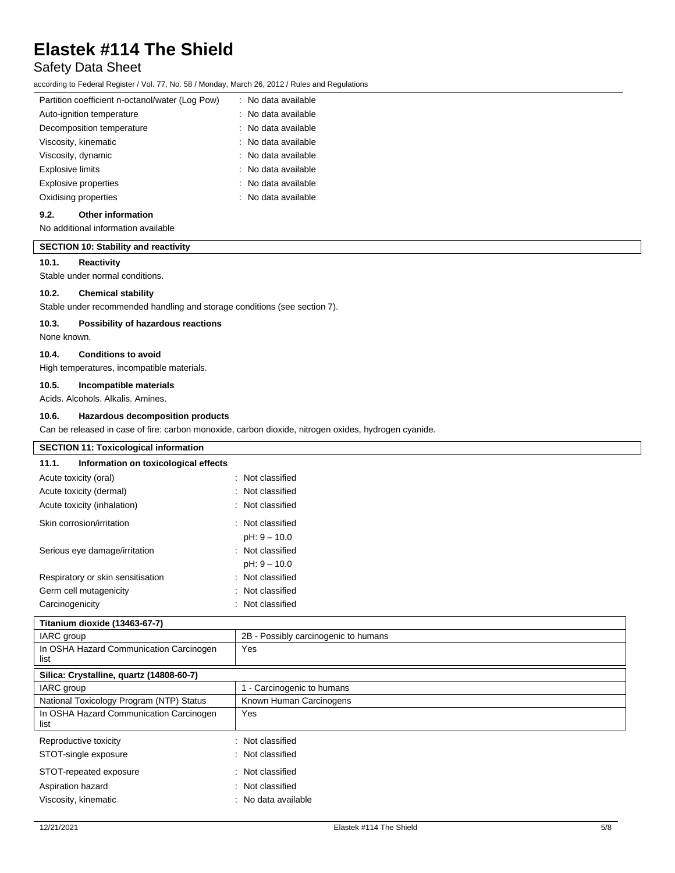### Safety Data Sheet

according to Federal Register / Vol. 77, No. 58 / Monday, March 26, 2012 / Rules and Regulations

| Partition coefficient n-octanol/water (Log Pow) | : No data available            |
|-------------------------------------------------|--------------------------------|
| Auto-ignition temperature                       | : No data available            |
| Decomposition temperature                       | : No data available            |
| Viscosity, kinematic                            | : No data available            |
| Viscosity, dynamic                              | $\therefore$ No data available |
| <b>Explosive limits</b>                         | : No data available            |
| <b>Explosive properties</b>                     | : No data available            |
| Oxidising properties                            | $:$ No data available          |
|                                                 |                                |

### **9.2. Other information**

No additional information available

### **SECTION 10: Stability and reactivity**

### **10.1. Reactivity**

Stable under normal conditions.

### **10.2. Chemical stability**

Stable under recommended handling and storage conditions (see section 7).

#### **10.3. Possibility of hazardous reactions**

None known.

### **10.4. Conditions to avoid**

High temperatures, incompatible materials.

### **10.5. Incompatible materials**

Acids. Alcohols. Alkalis. Amines.

#### **10.6. Hazardous decomposition products**

Can be released in case of fire: carbon monoxide, carbon dioxide, nitrogen oxides, hydrogen cyanide.

| <b>SECTION 11: Toxicological information</b>    |                                      |  |
|-------------------------------------------------|--------------------------------------|--|
| 11.1.<br>Information on toxicological effects   |                                      |  |
| Acute toxicity (oral)                           | : Not classified                     |  |
| Acute toxicity (dermal)                         | Not classified                       |  |
| Acute toxicity (inhalation)                     | : Not classified                     |  |
| Skin corrosion/irritation                       | : Not classified                     |  |
|                                                 | $pH: 9 - 10.0$                       |  |
| Serious eye damage/irritation                   | : Not classified                     |  |
|                                                 | $pH: 9 - 10.0$                       |  |
| Respiratory or skin sensitisation               | : Not classified                     |  |
| Germ cell mutagenicity                          | Not classified                       |  |
| Carcinogenicity                                 | : Not classified                     |  |
| Titanium dioxide (13463-67-7)                   |                                      |  |
| IARC group                                      | 2B - Possibly carcinogenic to humans |  |
| In OSHA Hazard Communication Carcinogen<br>list | Yes                                  |  |
| Silica: Crystalline, quartz (14808-60-7)        |                                      |  |
| IARC group                                      | 1 - Carcinogenic to humans           |  |
| National Toxicology Program (NTP) Status        | Known Human Carcinogens              |  |
| In OSHA Hazard Communication Carcinogen<br>list | Yes                                  |  |
| Reproductive toxicity                           | : Not classified                     |  |
| STOT-single exposure                            | : Not classified                     |  |
| STOT-repeated exposure                          | : Not classified                     |  |
| Aspiration hazard                               | : Not classified                     |  |
| Viscosity, kinematic                            | : No data available                  |  |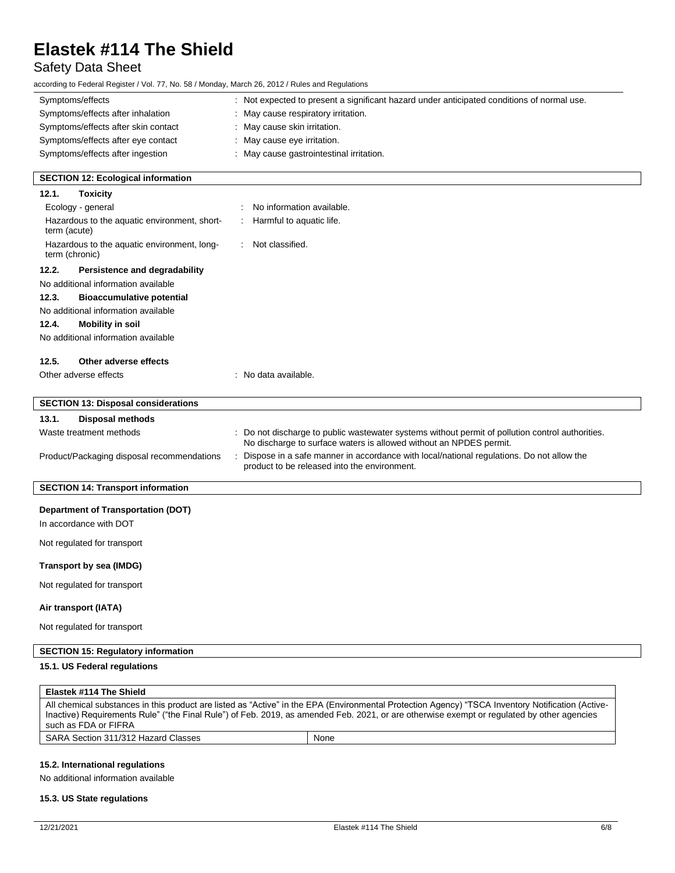### Safety Data Sheet

according to Federal Register / Vol. 77, No. 58 / Monday, March 26, 2012 / Rules and Regulations

| Symptoms/effects                                                    | : Not expected to present a significant hazard under anticipated conditions of normal use.                                                                           |
|---------------------------------------------------------------------|----------------------------------------------------------------------------------------------------------------------------------------------------------------------|
| Symptoms/effects after inhalation                                   | May cause respiratory irritation.                                                                                                                                    |
| Symptoms/effects after skin contact                                 | : May cause skin irritation.                                                                                                                                         |
| Symptoms/effects after eye contact                                  | : May cause eye irritation.                                                                                                                                          |
| Symptoms/effects after ingestion                                    | : May cause gastrointestinal irritation.                                                                                                                             |
| <b>SECTION 12: Ecological information</b>                           |                                                                                                                                                                      |
| <b>Toxicity</b><br>12.1.                                            |                                                                                                                                                                      |
| Ecology - general                                                   | No information available.                                                                                                                                            |
| Hazardous to the aquatic environment, short-<br>term (acute)        | Harmful to aquatic life.                                                                                                                                             |
| Hazardous to the aquatic environment, long-<br>term (chronic)       | Not classified.                                                                                                                                                      |
| 12.2.<br>Persistence and degradability                              |                                                                                                                                                                      |
| No additional information available                                 |                                                                                                                                                                      |
| 12.3.<br><b>Bioaccumulative potential</b>                           |                                                                                                                                                                      |
| No additional information available                                 |                                                                                                                                                                      |
| 12.4.<br><b>Mobility in soil</b>                                    |                                                                                                                                                                      |
| No additional information available                                 |                                                                                                                                                                      |
| 12.5.<br>Other adverse effects                                      |                                                                                                                                                                      |
| Other adverse effects                                               | : No data available.                                                                                                                                                 |
| <b>SECTION 13: Disposal considerations</b>                          |                                                                                                                                                                      |
| 13.1.<br><b>Disposal methods</b>                                    |                                                                                                                                                                      |
| Waste treatment methods                                             | Do not discharge to public wastewater systems without permit of pollution control authorities.<br>No discharge to surface waters is allowed without an NPDES permit. |
| Product/Packaging disposal recommendations                          | Dispose in a safe manner in accordance with local/national regulations. Do not allow the<br>product to be released into the environment.                             |
| <b>SECTION 14: Transport information</b>                            |                                                                                                                                                                      |
| <b>Department of Transportation (DOT)</b><br>In accordance with DOT |                                                                                                                                                                      |
| Not regulated for transport                                         |                                                                                                                                                                      |
| Transport by sea (IMDG)                                             |                                                                                                                                                                      |
| Not regulated for transport                                         |                                                                                                                                                                      |
| Air transport (IATA)                                                |                                                                                                                                                                      |
| Not regulated for transport                                         |                                                                                                                                                                      |
| <b>SECTION 15: Regulatory information</b>                           |                                                                                                                                                                      |
| 15.1. US Federal regulations                                        |                                                                                                                                                                      |
|                                                                     |                                                                                                                                                                      |

| Elastek #114 The Shield             |                                                                                                                                                   |
|-------------------------------------|---------------------------------------------------------------------------------------------------------------------------------------------------|
|                                     | All chemical substances in this product are listed as "Active" in the EPA (Environmental Protection Agency) "TSCA Inventory Notification (Active- |
|                                     | Inactive) Requirements Rule" ("the Final Rule") of Feb. 2019, as amended Feb. 2021, or are otherwise exempt or requlated by other agencies        |
| such as FDA or FIFRA                |                                                                                                                                                   |
| SARA Section 311/312 Hazard Classes | None                                                                                                                                              |

### **15.2. International regulations**

No additional information available

### **15.3. US State regulations**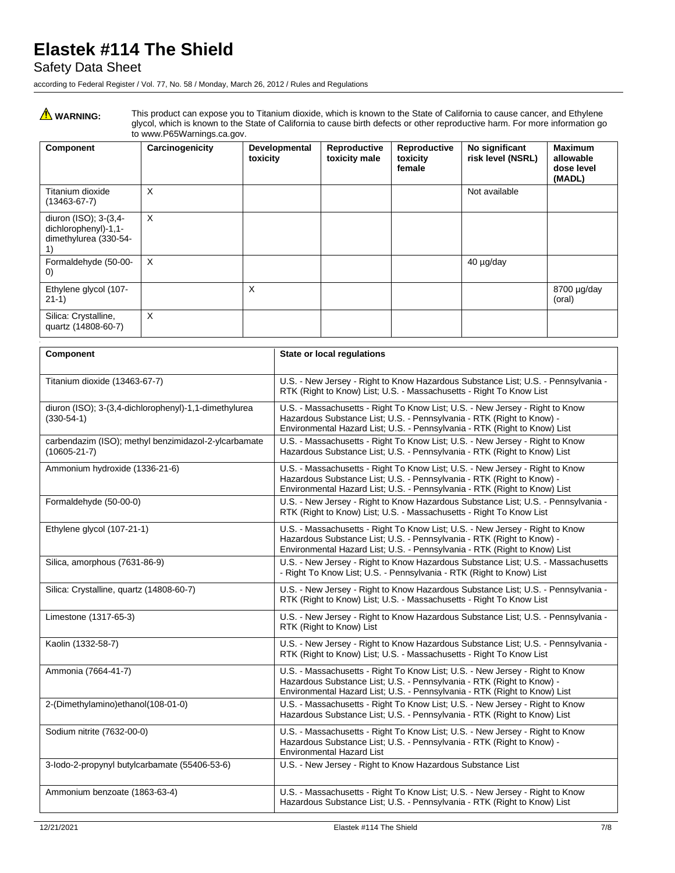### Safety Data Sheet

according to Federal Register / Vol. 77, No. 58 / Monday, March 26, 2012 / Rules and Regulations

WARNING: This product can expose you to Titanium dioxide, which is known to the State of California to cause cancer, and Ethylene<br>glycol, which is known to the State of California to cause birth defects or other reproducti to www.P65Warnings.ca.gov.

| Component                                                                    | Carcinogenicity | Developmental<br>toxicity | Reproductive<br>toxicity male | Reproductive<br>toxicity<br>female | No significant<br>risk level (NSRL) | <b>Maximum</b><br>allowable<br>dose level<br>(MADL) |
|------------------------------------------------------------------------------|-----------------|---------------------------|-------------------------------|------------------------------------|-------------------------------------|-----------------------------------------------------|
| Titanium dioxide<br>$(13463 - 67 - 7)$                                       | X               |                           |                               |                                    | Not available                       |                                                     |
| diuron (ISO); 3-(3,4-<br>dichlorophenyl)-1,1-<br>dimethylurea (330-54-<br>1) | X               |                           |                               |                                    |                                     |                                                     |
| Formaldehyde (50-00-<br>$\left( 0\right)$                                    | X               |                           |                               |                                    | 40 µg/day                           |                                                     |
| Ethylene glycol (107-<br>$21-1)$                                             |                 | X                         |                               |                                    |                                     | 8700 µg/day<br>(oral)                               |
| Silica: Crystalline,<br>quartz (14808-60-7)                                  | X               |                           |                               |                                    |                                     |                                                     |

| Component                                                                  | State or local regulations                                                                                                                                                                                                         |
|----------------------------------------------------------------------------|------------------------------------------------------------------------------------------------------------------------------------------------------------------------------------------------------------------------------------|
| Titanium dioxide (13463-67-7)                                              | U.S. - New Jersey - Right to Know Hazardous Substance List; U.S. - Pennsylvania -<br>RTK (Right to Know) List: U.S. - Massachusetts - Right To Know List                                                                           |
| diuron (ISO); 3-(3,4-dichlorophenyl)-1,1-dimethylurea<br>$(330-54-1)$      | U.S. - Massachusetts - Right To Know List; U.S. - New Jersey - Right to Know<br>Hazardous Substance List; U.S. - Pennsylvania - RTK (Right to Know) -<br>Environmental Hazard List; U.S. - Pennsylvania - RTK (Right to Know) List |
| carbendazim (ISO); methyl benzimidazol-2-ylcarbamate<br>$(10605 - 21 - 7)$ | U.S. - Massachusetts - Right To Know List; U.S. - New Jersey - Right to Know<br>Hazardous Substance List; U.S. - Pennsylvania - RTK (Right to Know) List                                                                           |
| Ammonium hydroxide (1336-21-6)                                             | U.S. - Massachusetts - Right To Know List; U.S. - New Jersey - Right to Know<br>Hazardous Substance List; U.S. - Pennsylvania - RTK (Right to Know) -<br>Environmental Hazard List; U.S. - Pennsylvania - RTK (Right to Know) List |
| Formaldehyde (50-00-0)                                                     | U.S. - New Jersey - Right to Know Hazardous Substance List; U.S. - Pennsylvania -<br>RTK (Right to Know) List: U.S. - Massachusetts - Right To Know List                                                                           |
| Ethylene glycol (107-21-1)                                                 | U.S. - Massachusetts - Right To Know List; U.S. - New Jersey - Right to Know<br>Hazardous Substance List; U.S. - Pennsylvania - RTK (Right to Know) -<br>Environmental Hazard List; U.S. - Pennsylvania - RTK (Right to Know) List |
| Silica, amorphous (7631-86-9)                                              | U.S. - New Jersey - Right to Know Hazardous Substance List; U.S. - Massachusetts<br>- Right To Know List; U.S. - Pennsylvania - RTK (Right to Know) List                                                                           |
| Silica: Crystalline, quartz (14808-60-7)                                   | U.S. - New Jersey - Right to Know Hazardous Substance List; U.S. - Pennsylvania -<br>RTK (Right to Know) List; U.S. - Massachusetts - Right To Know List                                                                           |
| Limestone (1317-65-3)                                                      | U.S. - New Jersey - Right to Know Hazardous Substance List; U.S. - Pennsylvania -<br>RTK (Right to Know) List                                                                                                                      |
| Kaolin (1332-58-7)                                                         | U.S. - New Jersey - Right to Know Hazardous Substance List; U.S. - Pennsylvania -<br>RTK (Right to Know) List; U.S. - Massachusetts - Right To Know List                                                                           |
| Ammonia (7664-41-7)                                                        | U.S. - Massachusetts - Right To Know List; U.S. - New Jersey - Right to Know<br>Hazardous Substance List; U.S. - Pennsylvania - RTK (Right to Know) -<br>Environmental Hazard List; U.S. - Pennsylvania - RTK (Right to Know) List |
| 2-(Dimethylamino)ethanol(108-01-0)                                         | U.S. - Massachusetts - Right To Know List; U.S. - New Jersey - Right to Know<br>Hazardous Substance List; U.S. - Pennsylvania - RTK (Right to Know) List                                                                           |
| Sodium nitrite (7632-00-0)                                                 | U.S. - Massachusetts - Right To Know List; U.S. - New Jersey - Right to Know<br>Hazardous Substance List; U.S. - Pennsylvania - RTK (Right to Know) -<br><b>Environmental Hazard List</b>                                          |
| 3-lodo-2-propynyl butylcarbamate (55406-53-6)                              | U.S. - New Jersey - Right to Know Hazardous Substance List                                                                                                                                                                         |
| Ammonium benzoate (1863-63-4)                                              | U.S. - Massachusetts - Right To Know List; U.S. - New Jersey - Right to Know<br>Hazardous Substance List; U.S. - Pennsylvania - RTK (Right to Know) List                                                                           |